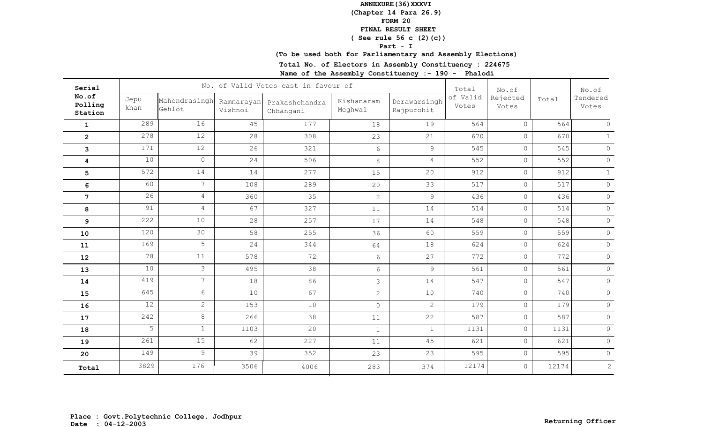## **(Chapter 14 Para 26.9)**

**FORM 20**

#### **FINAL RESULT SHEET**

## **( See rule 56 c (2)(c))**

**Part - I**

# **(To be used both for Parliamentary and Assembly Elections)**

**Total No. of Electors in Assembly Constituency : 224675**

| No.of<br>of Valid<br>Rejected<br>Total<br>Jepu<br>Mahendrasingh<br>Kishanaram<br>Derawarsingh<br>Ramnarayan<br>Prakashchandra<br>Polling<br>Votes<br>Votes<br>khan<br>Gehlot<br>Meghwal<br>Vishnoi<br>Rajpurohit<br>Chhangani<br>Station | Tendered<br>Votes<br>564<br>$\circ$ |
|------------------------------------------------------------------------------------------------------------------------------------------------------------------------------------------------------------------------------------------|-------------------------------------|
|                                                                                                                                                                                                                                          |                                     |
| 289<br>16<br>45<br>177<br>19<br>564<br>$\circ$<br>18<br>$\mathbf 1$                                                                                                                                                                      |                                     |
| 278<br>12<br>28<br>308<br>$\circ$<br>21<br>670<br>23<br>$\mathbf{2}$                                                                                                                                                                     | 670<br>$\mathbf{1}$                 |
| 12<br>171<br>26<br>321<br>9<br>545<br>$\circ$<br>$6\,$<br>3                                                                                                                                                                              | 545<br>$\circ$                      |
| 10<br>$\circ$<br>24<br>506<br>552<br>$\circ$<br>8<br>$\overline{4}$<br>4                                                                                                                                                                 | 552<br>$\circ$                      |
| 572<br>14<br>277<br>912<br>14<br>20<br>$\circ$<br>15<br>5                                                                                                                                                                                | 912<br>$\mathbf{1}$                 |
| $7\overline{ }$<br>60<br>108<br>517<br>$\circ$<br>289<br>33<br>6<br>20                                                                                                                                                                   | 517<br>$\circ$                      |
| 26<br>$\overline{4}$<br>35<br>$\circ$<br>360<br>9<br>436<br>$\overline{2}$<br>$\overline{7}$                                                                                                                                             | 436<br>$\circ$                      |
| 91<br>$\overline{4}$<br>67<br>327<br>$\circ$<br>14<br>514<br>8<br>11                                                                                                                                                                     | $\circ$<br>514                      |
| 222<br>10<br>28<br>257<br>14<br>548<br>$\circ$<br>9<br>17                                                                                                                                                                                | $\circ$<br>548                      |
| 120<br>30<br>58<br>255<br>559<br>$\circ$<br>60<br>36<br>10                                                                                                                                                                               | 559<br>$\circ$                      |
| 5<br>169<br>24<br>344<br>624<br>$\circ$<br>18<br>64<br>11                                                                                                                                                                                | $\circ$<br>624                      |
| 78<br>11<br>578<br>72<br>27<br>772<br>$\circ$<br>6<br>12                                                                                                                                                                                 | 772<br>$\circ$                      |
| 10<br>$\mathcal{S}$<br>495<br>38<br>$\overline{9}$<br>561<br>$\circ$<br>$6\,$<br>13                                                                                                                                                      | $\circ$<br>561                      |
| $7\overline{ }$<br>419<br>18<br>86<br>14<br>547<br>$\circ$<br>3<br>14                                                                                                                                                                    | $\circ$<br>547                      |
| 67<br>645<br>6<br>10<br>740<br>$\circ$<br>10<br>$\overline{2}$<br>15                                                                                                                                                                     | $\circ$<br>740                      |
| $\overline{2}$<br>12<br>153<br>10<br>$\overline{2}$<br>$\circ$<br>179<br>$\circ$<br>16                                                                                                                                                   | $\circ$<br>179                      |
| 242<br>8<br>266<br>38<br>22<br>587<br>$\circ$<br>11<br>17                                                                                                                                                                                | $\circledcirc$<br>587               |
| 5<br>$\mathbf{1}$<br>20<br>1103<br>$\circ$<br>$\mathbf{1}$<br>1131<br>$\mathbf{1}$<br>18                                                                                                                                                 | $\circ$<br>1131                     |
| 261<br>15<br>227<br>62<br>45<br>621<br>$\circ$<br>11<br>19                                                                                                                                                                               | 621<br>$\circ$                      |
| 9<br>149<br>39<br>595<br>$\circ$<br>352<br>23<br>23<br>20                                                                                                                                                                                | 595<br>$\circ$                      |
| 3829<br>176<br>12174<br>$\circ$<br>3506<br>4006<br>283<br>374<br>Total                                                                                                                                                                   | 2<br>12174                          |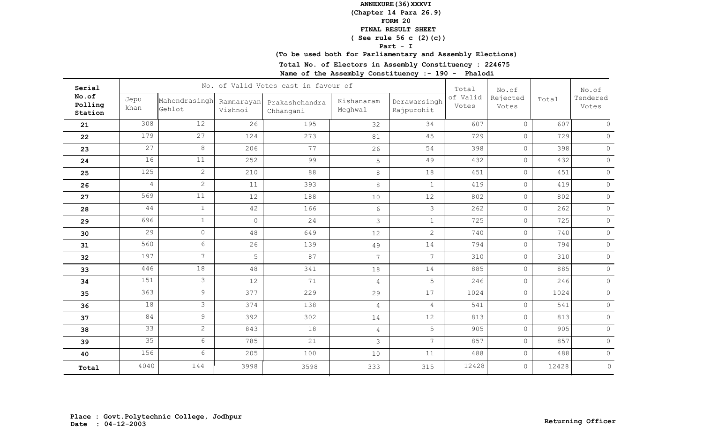## **(Chapter 14 Para 26.9)**

**FORM 20**

#### **FINAL RESULT SHEET**

## **( See rule 56 c (2)(c))**

**Part - I**

# **(To be used both for Parliamentary and Assembly Elections)**

**Total No. of Electors in Assembly Constituency : 224675**

| Serial                      |                 |                         |                       | No. of Valid Votes cast in favour of |                       |                            | Total             | No.of             |       | No.of             |
|-----------------------------|-----------------|-------------------------|-----------------------|--------------------------------------|-----------------------|----------------------------|-------------------|-------------------|-------|-------------------|
| No.of<br>Polling<br>Station | Jepu<br>khan    | Mahendrasingh<br>Gehlot | Ramnarayan<br>Vishnoi | Prakashchandra<br>Chhangani          | Kishanaram<br>Meghwal | Derawarsingh<br>Rajpurohit | of Valid<br>Votes | Rejected<br>Votes | Total | Tendered<br>Votes |
| 21                          | 308             | 12                      | 26                    | 195                                  | 32                    | 34                         | 607               | $\circ$           | 607   | $\circ$           |
| 22                          | 179             | 27                      | 124                   | 273                                  | 81                    | 45                         | 729               | $\circ$           | 729   | $\circ$           |
| 23                          | 27              | 8                       | 206                   | 77                                   | 26                    | 54                         | 398               | $\circ$           | 398   | $\circ$           |
| 24                          | 16              | 11                      | 252                   | 99                                   | 5                     | 49                         | 432               | $\circ$           | 432   | $\circ$           |
| 25                          | 125             | $\overline{2}$          | 210                   | 88                                   | $\,8\,$               | 18                         | 451               | $\circ$           | 451   | $\circ$           |
| 26                          | $\overline{4}$  | $\overline{2}$          | 11                    | 393                                  | $\,8\,$               | $\mathbf{1}$               | 419               | $\circ$           | 419   | $\circ$           |
| 27                          | 569             | 11                      | 12                    | 188                                  | 10                    | 12                         | 802               | $\circ$           | 802   | $\circ$           |
| 28                          | 44              | $\mathbf{1}$            | 42                    | 166                                  | $6\,$                 | 3                          | 262               | $\circ$           | 262   | $\circ$           |
| 29                          | 696             | $\mathbf{1}$            | $\circ$               | 24                                   | 3                     | $\mathbf{1}$               | 725               | $\circ$           | 725   | $\circ$           |
| 30                          | 29              | $\circ$                 | 48                    | 649                                  | 12                    | $\overline{2}$             | 740               | $\circ$           | 740   | $\circ$           |
| 31                          | 560             | $6\overline{6}$         | 26                    | 139                                  | 49                    | 14                         | 794               | $\circ$           | 794   | $\circledcirc$    |
| 32                          | 197             | $7\overline{ }$         | 5                     | 87                                   | $7\phantom{.0}$       | $7\overline{ }$            | 310               | $\circ$           | 310   | $\circ$           |
| 33                          | 446             | 18                      | 48                    | 341                                  | 18                    | 14                         | 885               | $\circ$           | 885   | $\circ$           |
| 34                          | 151             | 3                       | 12                    | 71                                   | 4                     | 5                          | 246               | $\circ$           | 246   | $\circ$           |
| 35                          | 363             | $\overline{9}$          | 377                   | 229                                  | 29                    | 17                         | 1024              | $\circ$           | 1024  | $\circ$           |
| 36                          | 18              | 3                       | 374                   | 138                                  | $\overline{4}$        | $\overline{4}$             | 541               | $\circ$           | 541   | $\circ$           |
| 37                          | 84              | 9                       | 392                   | 302                                  | 14                    | 12                         | 813               | $\circ$           | 813   | $\circ$           |
| 38                          | 33              | $\overline{2}$          | 843                   | 18                                   | $\overline{4}$        | 5                          | 905               | $\circ$           | 905   | $\circledcirc$    |
| 39                          | $\overline{35}$ | 6                       | 785                   | 21                                   | $\mathfrak{Z}$        | $7^{\circ}$                | 857               | $\circ$           | 857   | $\circledcirc$    |
| 40                          | 156             | 6                       | 205                   | 100                                  | 10                    | 11                         | 488               | $\circ$           | 488   | $\circ$           |
| Total                       | 4040            | 144                     | 3998                  | 3598                                 | 333                   | 315                        | 12428             | $\circ$           | 12428 | $\circ$           |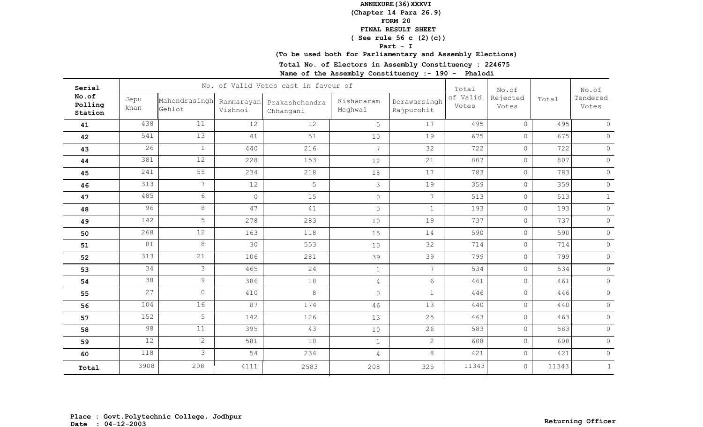## **(Chapter 14 Para 26.9)**

**FORM 20**

#### **FINAL RESULT SHEET**

## **( See rule 56 c (2)(c))**

**Part - I**

# **(To be used both for Parliamentary and Assembly Elections)**

**Total No. of Electors in Assembly Constituency : 224675**

| Serial                      |                 |                         |                       | No. of Valid Votes cast in favour of |                       |                            | Total             | No.of             |       | No.of             |
|-----------------------------|-----------------|-------------------------|-----------------------|--------------------------------------|-----------------------|----------------------------|-------------------|-------------------|-------|-------------------|
| No.of<br>Polling<br>Station | Jepu<br>khan    | Mahendrasingh<br>Gehlot | Ramnarayan<br>Vishnoi | Prakashchandra<br>Chhangani          | Kishanaram<br>Meghwal | Derawarsingh<br>Rajpurohit | of Valid<br>Votes | Rejected<br>Votes | Total | Tendered<br>Votes |
| 41                          | 438             | 11                      | 12                    | 12                                   | 5                     | 17                         | 495               | $\circ$           | 495   | $\circ$           |
| 42                          | 541             | 13                      | 41                    | 51                                   | 10                    | 19                         | 675               | $\circ$           | 675   | $\circ$           |
| 43                          | 26              | $\mathbf{1}$            | 440                   | 216                                  | $7\phantom{.0}$       | 32                         | 722               | $\circ$           | 722   | $\circ$           |
| 44                          | 381             | 12                      | 228                   | 153                                  | 12                    | 21                         | 807               | $\circ$           | 807   | $\circ$           |
| 45                          | 241             | 55                      | 234                   | 218                                  | 18                    | 17                         | 783               | $\circ$           | 783   | $\circ$           |
| 46                          | 313             | 7 <sup>1</sup>          | 12                    | 5                                    | $\mathfrak{Z}$        | 19                         | 359               | $\circ$           | 359   | $\circ$           |
| 47                          | 485             | 6                       | $\circ$               | 15                                   | $\circ$               | $7\overline{ }$            | 513               | $\circ$           | 513   | $\mathbf{1}$      |
| 48                          | 96              | 8                       | 47                    | 41                                   | $\circ$               | $\mathbf{1}$               | 193               | $\circ$           | 193   | $\circ$           |
| 49                          | 142             | 5                       | 278                   | 283                                  | 10                    | 19                         | 737               | $\circ$           | 737   | $\circ$           |
| 50                          | 268             | 12                      | 163                   | 118                                  | 15                    | 14                         | 590               | $\circ$           | 590   | $\circ$           |
| 51                          | 81              | 8                       | 30                    | 553                                  | 10                    | 32                         | 714               | $\circ$           | 714   | $\circledcirc$    |
| 52                          | 313             | 21                      | 106                   | 281                                  | 39                    | 39                         | 799               | $\circ$           | 799   | $\circ$           |
| 53                          | 34              | 3                       | 465                   | 24                                   | $\mathbf{1}$          | $7\overline{ }$            | 534               | $\circ$           | 534   | $\circ$           |
| 54                          | 38              | 9                       | 386                   | 18                                   | $\overline{4}$        | 6                          | 461               | $\circ$           | 461   | $\circ$           |
| 55                          | 27              | $\overline{0}$          | 410                   | 8                                    | $\circ$               | $\mathbf{1}$               | 446               | $\circ$           | 446   | $\circ$           |
| 56                          | 104             | 16                      | 87                    | 174                                  | 46                    | 13                         | 440               | $\circ$           | 440   | $\circ$           |
| 57                          | 152             | 5                       | 142                   | 126                                  | 13                    | 25                         | 463               | $\circ$           | 463   | $\circ$           |
| 58                          | 98              | 11                      | 395                   | 43                                   | 10                    | 26                         | 583               | $\circ$           | 583   | $\circledcirc$    |
| 59                          | $\overline{12}$ | $\overline{2}$          | 581                   | 10                                   | $\mathbf{1}$          | $\overline{2}$             | 608               | $\circ$           | 608   | $\circledcirc$    |
| 60                          | 118             | $\mathcal{S}$           | 54                    | 234                                  | $\overline{4}$        | 8                          | 421               | $\circ$           | 421   | $\circ$           |
| Total                       | 3908            | 208                     | 4111                  | 2583                                 | 208                   | 325                        | 11343             | $\circ$           | 11343 | $\mathbf{1}$      |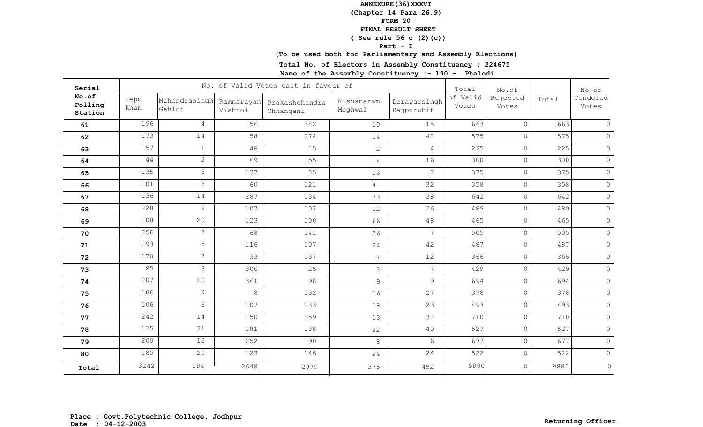## **(Chapter 14 Para 26.9)**

**FORM 20**

#### **FINAL RESULT SHEET**

## **( See rule 56 c (2)(c))**

**Part - I**

# **(To be used both for Parliamentary and Assembly Elections)**

**Total No. of Electors in Assembly Constituency : 224675**

| Serial                      |              |                         |                       | No. of Valid Votes cast in favour of |                       |                            | Total             | No.of             |       | No.of             |
|-----------------------------|--------------|-------------------------|-----------------------|--------------------------------------|-----------------------|----------------------------|-------------------|-------------------|-------|-------------------|
| No.of<br>Polling<br>Station | Jepu<br>khan | Mahendrasingh<br>Gehlot | Ramnarayan<br>Vishnoi | Prakashchandra<br>Chhangani          | Kishanaram<br>Meghwal | Derawarsingh<br>Rajpurohit | of Valid<br>Votes | Rejected<br>Votes | Total | Tendered<br>Votes |
| 61                          | 196          | $\overline{4}$          | 56                    | 382                                  | 10                    | 15                         | 663               | $\circ$           | 663   | $\circ$           |
| 62                          | 173          | 14                      | 58                    | 274                                  | 14                    | 42                         | 575               | $\circ$           | 575   | $\circ$           |
| 63                          | 157          | $\mathbf{1}$            | 46                    | 15                                   | $\overline{2}$        | $\overline{4}$             | 225               | $\circ$           | 225   | $\circ$           |
| 64                          | 44           | $\overline{2}$          | 69                    | 155                                  | 14                    | 16                         | 300               | $\circ$           | 300   | $\circ$           |
| 65                          | 135          | 3                       | 137                   | 85                                   | 13                    | $\overline{2}$             | 375               | $\circ$           | 375   | $\circ$           |
| 66                          | 101          | 3                       | 60                    | 121                                  | 41                    | 32                         | 358               | $\circ$           | 358   | $\circ$           |
| 67                          | 136          | 14                      | 287                   | 134                                  | 33                    | 38                         | 642               | $\circ$           | 642   | $\circ$           |
| 68                          | 228          | 9                       | 107                   | 107                                  | 12                    | 26                         | 489               | $\circ$           | 489   | $\circ$           |
| 69                          | 108          | 20                      | 123                   | 100                                  | 66                    | 48                         | 465               | $\circ$           | 465   | $\circ$           |
| 70                          | 256          | $7\overline{ }$         | 68                    | 141                                  | 26                    | $7\phantom{.0}$            | 505               | $\circ$           | 505   | $\circ$           |
| 71                          | 193          | 5                       | 116                   | 107                                  | 24                    | 42                         | 487               | $\circ$           | 487   | $\circ$           |
| 72                          | 170          | 7 <sup>1</sup>          | 33                    | 137                                  | $7\overline{ }$       | 12                         | 366               | $\circ$           | 366   | $\circ$           |
| 73                          | 85           | 3                       | 306                   | 25                                   | $\mathfrak{Z}$        | $7^{\circ}$                | 429               | $\circ$           | 429   | $\circ$           |
| 74                          | 207          | 10                      | 361                   | 98                                   | 9                     | 9                          | 694               | $\circ$           | 694   | $\circ$           |
| 75                          | 186          | 9                       | 8                     | 132                                  | 16                    | 27                         | 378               | $\circ$           | 378   | $\circ$           |
| 76                          | 106          | 6                       | 107                   | 233                                  | 18                    | 23                         | 493               | $\circ$           | 493   | $\circ$           |
| 77                          | 242          | 14                      | 150                   | 259                                  | 13                    | 32                         | 710               | $\circ$           | 710   | $\circledcirc$    |
| 78                          | 125          | 21                      | 181                   | 138                                  | 22                    | 40                         | 527               | $\circ$           | 527   | $\circ$           |
| 79                          | 209          | 12                      | 252                   | 190                                  | 8                     | 6                          | 677               | $\circ$           | 677   | $\circ$           |
| 80                          | 185          | 20                      | 123                   | 146                                  | 24                    | 24                         | 522               | $\circ$           | 522   | $\circ$           |
| Total                       | 3242         | 184                     | 2648                  | 2979                                 | 375                   | 452                        | 9880              | $\circ$           | 9880  | $\circ$           |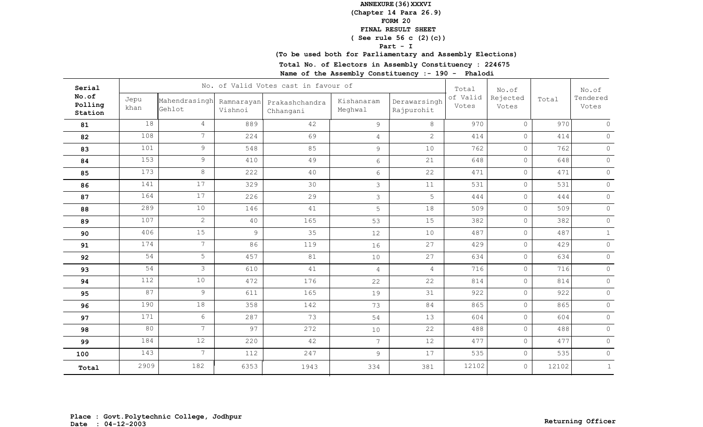## **(Chapter 14 Para 26.9)**

**FORM 20**

#### **FINAL RESULT SHEET**

## **( See rule 56 c (2)(c))**

**Part - I**

## **(To be used both for Parliamentary and Assembly Elections)**

**Total No. of Electors in Assembly Constituency : 224675**

| Serial                      |              |                         |                       | No. of Valid Votes cast in favour of |                       |                            | Total             | No.of             |       | No.of             |
|-----------------------------|--------------|-------------------------|-----------------------|--------------------------------------|-----------------------|----------------------------|-------------------|-------------------|-------|-------------------|
| No.of<br>Polling<br>Station | Jepu<br>khan | Mahendrasingh<br>Gehlot | Ramnarayan<br>Vishnoi | Prakashchandra<br>Chhangani          | Kishanaram<br>Meghwal | Derawarsingh<br>Rajpurohit | of Valid<br>Votes | Rejected<br>Votes | Total | Tendered<br>Votes |
| 81                          | 18           | $\overline{4}$          | 889                   | 42                                   | 9                     | 8                          | 970               | $\circ$           | 970   | $\circ$           |
| 82                          | 108          | $7\overline{ }$         | 224                   | 69                                   | $\overline{4}$        | $\overline{2}$             | 414               | $\circ$           | 414   | $\circ$           |
| 83                          | 101          | 9                       | 548                   | 85                                   | $\mathcal{G}$         | 10                         | 762               | $\circ$           | 762   | $\circ$           |
| 84                          | 153          | 9                       | 410                   | 49                                   | $6\,$                 | 21                         | 648               | $\circ$           | 648   | $\circ$           |
| 85                          | 173          | 8                       | 222                   | 40                                   | $6\,$                 | 22                         | 471               | $\circ$           | 471   | $\circ$           |
| 86                          | 141          | 17                      | 329                   | 30                                   | $\mathcal{S}$         | 11                         | 531               | $\circ$           | 531   | $\circ$           |
| 87                          | 164          | 17                      | 226                   | 29                                   | 3                     | 5                          | 444               | $\circ$           | 444   | $\circ$           |
| 88                          | 289          | 10                      | 146                   | 41                                   | 5                     | 18                         | 509               | $\circ$           | 509   | $\circ$           |
| 89                          | 107          | $\overline{2}$          | 40                    | 165                                  | 53                    | 15                         | 382               | $\circ$           | 382   | $\circledcirc$    |
| 90                          | 406          | 15                      | $\overline{9}$        | 35                                   | 12                    | 10                         | 487               | $\circ$           | 487   | $\mathbf{1}$      |
| 91                          | 174          | $7\overline{ }$         | 86                    | 119                                  | 16                    | 27                         | 429               | $\circ$           | 429   | $\circ$           |
| 92                          | 54           | 5                       | 457                   | 81                                   | 10                    | 27                         | 634               | $\circ$           | 634   | $\circ$           |
| 93                          | 54           | $\mathcal{S}$           | 610                   | 41                                   | $\overline{4}$        | $\overline{4}$             | 716               | $\circ$           | 716   | $\circ$           |
| 94                          | 112          | 10                      | 472                   | 176                                  | 22                    | 22                         | 814               | $\circ$           | 814   | $\circ$           |
| 95                          | 87           | $\overline{9}$          | 611                   | 165                                  | 19                    | 31                         | 922               | $\circ$           | 922   | $\circ$           |
| 96                          | 190          | 18                      | 358                   | 142                                  | 73                    | 84                         | 865               | $\circ$           | 865   | $\circ$           |
| 97                          | 171          | 6                       | 287                   | 73                                   | 54                    | 13                         | 604               | $\circ$           | 604   | $\circ$           |
| 98                          | 80           | $7\overline{ }$         | 97                    | 272                                  | $10$                  | 22                         | 488               | $\circ$           | 488   | $\circledcirc$    |
| 99                          | 184          | 12                      | 220                   | 42                                   | $\overline{7}$        | 12                         | 477               | $\circ$           | 477   | $\circ$           |
| 100                         | 143          | $7\overline{ }$         | 112                   | 247                                  | 9                     | 17                         | 535               | $\circ$           | 535   | $\circ$           |
| Total                       | 2909         | 182                     | 6353                  | 1943                                 | 334                   | 381                        | 12102             | $\circ$           | 12102 | $\mathbf{1}$      |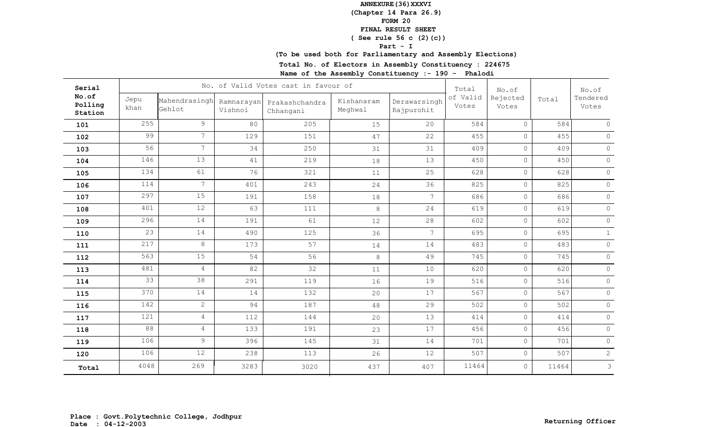## **(Chapter 14 Para 26.9)**

**FORM 20**

#### **FINAL RESULT SHEET**

## **( See rule 56 c (2)(c))**

**Part - I**

# **(To be used both for Parliamentary and Assembly Elections)**

**Total No. of Electors in Assembly Constituency : 224675**

| Serial                      |              |                         |                       | No. of Valid Votes cast in favour of |                       |                            | Total             | No.of             |       | No.of             |
|-----------------------------|--------------|-------------------------|-----------------------|--------------------------------------|-----------------------|----------------------------|-------------------|-------------------|-------|-------------------|
| No.of<br>Polling<br>Station | Jepu<br>khan | Mahendrasingh<br>Gehlot | Ramnarayan<br>Vishnoi | Prakashchandra<br>Chhangani          | Kishanaram<br>Meghwal | Derawarsingh<br>Rajpurohit | of Valid<br>Votes | Rejected<br>Votes | Total | Tendered<br>Votes |
| 101                         | 255          | 9                       | 80                    | 205                                  | 15                    | 20                         | 584               | $\circ$           | 584   | $\circ$           |
| 102                         | 99           | $\overline{7}$          | 129                   | 151                                  | 47                    | 22                         | 455               | $\circ$           | 455   | $\circ$           |
| 103                         | 56           | 7 <sup>1</sup>          | 34                    | 250                                  | 31                    | 31                         | 409               | $\circ$           | 409   | $\circ$           |
| 104                         | 146          | 13                      | 41                    | 219                                  | 18                    | 13                         | 450               | $\circ$           | 450   | $\circ$           |
| 105                         | 134          | 61                      | 76                    | 321                                  | 11                    | 25                         | 628               | $\circ$           | 628   | $\circ$           |
| 106                         | 114          | $\overline{7}$          | 401                   | 243                                  | 24                    | 36                         | 825               | $\circ$           | 825   | $\circ$           |
| 107                         | 297          | 15                      | 191                   | 158                                  | 18                    | $7\overline{ }$            | 686               | $\circ$           | 686   | $\circ$           |
| 108                         | 401          | 12                      | 63                    | 111                                  | 8                     | 24                         | 619               | $\circ$           | 619   | $\circ$           |
| 109                         | 296          | 14                      | 191                   | 61                                   | 12                    | 28                         | 602               | $\circ$           | 602   | $\circledcirc$    |
| 110                         | 23           | 14                      | 490                   | 125                                  | 36                    | 7 <sup>1</sup>             | 695               | $\circ$           | 695   | $\mathbf{1}$      |
| 111                         | 217          | 8                       | 173                   | 57                                   | 14                    | 14                         | 483               | $\circ$           | 483   | $\circ$           |
| 112                         | 563          | 15                      | 54                    | 56                                   | 8                     | 49                         | 745               | $\circ$           | 745   | $\circ$           |
| 113                         | 481          | $\overline{4}$          | 82                    | 32                                   | 11                    | 10                         | 620               | $\circ$           | 620   | $\circ$           |
| 114                         | 33           | 38                      | 291                   | 119                                  | 16                    | 19                         | 516               | $\circ$           | 516   | $\circ$           |
| 115                         | 370          | 14                      | 14                    | 132                                  | 20                    | 17                         | 567               | $\circ$           | 567   | $\circ$           |
| 116                         | 142          | $\overline{2}$          | 94                    | 187                                  | 48                    | 29                         | 502               | $\circ$           | 502   | $\circ$           |
| 117                         | 121          | $\overline{4}$          | 112                   | 144                                  | 20                    | 13                         | 414               | $\circ$           | 414   | $\circ$           |
| 118                         | 88           | $\overline{4}$          | 133                   | 191                                  | 23                    | 17                         | 456               | $\circ$           | 456   | $\circledcirc$    |
| 119                         | 106          | $\overline{9}$          | 396                   | 145                                  | 31                    | 14                         | 701               | $\circ$           | 701   | $\circ$           |
| 120                         | 106          | 12                      | 238                   | 113                                  | 26                    | 12                         | 507               | $\circ$           | 507   | $\mathbf{2}$      |
| Total                       | 4048         | 269                     | 3283                  | 3020                                 | 437                   | 407                        | 11464             | $\circ$           | 11464 | $\mathcal{S}$     |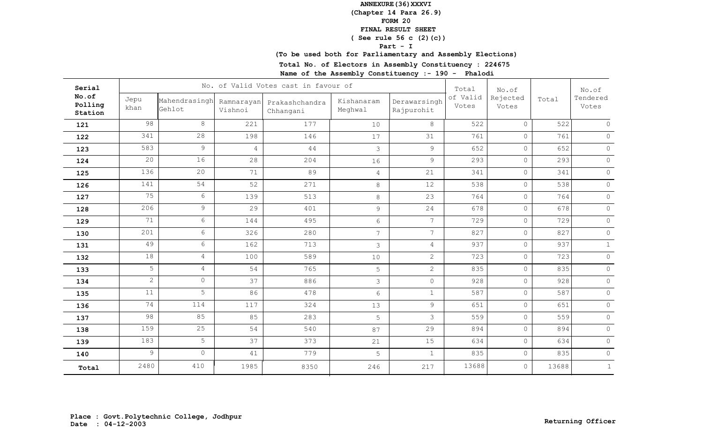## **(Chapter 14 Para 26.9)**

**FORM 20**

#### **FINAL RESULT SHEET**

## **( See rule 56 c (2)(c))**

**Part - I**

# **(To be used both for Parliamentary and Assembly Elections)**

**Total No. of Electors in Assembly Constituency : 224675**

| Serial                      |                |                         |                       | No. of Valid Votes cast in favour of |                       |                            | Total             | No.of             |       | No.of             |
|-----------------------------|----------------|-------------------------|-----------------------|--------------------------------------|-----------------------|----------------------------|-------------------|-------------------|-------|-------------------|
| No.of<br>Polling<br>Station | Jepu<br>khan   | Mahendrasingh<br>Gehlot | Ramnarayan<br>Vishnoi | Prakashchandra<br>Chhangani          | Kishanaram<br>Meghwal | Derawarsingh<br>Rajpurohit | of Valid<br>Votes | Rejected<br>Votes | Total | Tendered<br>Votes |
| 121                         | 98             | 8                       | 221                   | 177                                  | 10                    | 8                          | 522               | $\circ$           | 522   | $\circ$           |
| 122                         | 341            | 28                      | 198                   | 146                                  | 17                    | 31                         | 761               | $\circ$           | 761   | $\circ$           |
| 123                         | 583            | 9                       | $\overline{4}$        | 44                                   | $\mathfrak{Z}$        | $\overline{9}$             | 652               | $\circ$           | 652   | $\circ$           |
| 124                         | 20             | 16                      | 28                    | 204                                  | 16                    | 9                          | 293               | $\circ$           | 293   | $\circ$           |
| 125                         | 136            | 20                      | 71                    | 89                                   | $\overline{4}$        | 21                         | 341               | $\circ$           | 341   | $\circ$           |
| 126                         | 141            | 54                      | 52                    | 271                                  | 8                     | 12                         | 538               | $\circ$           | 538   | $\circ$           |
| 127                         | 75             | 6                       | 139                   | 513                                  | 8                     | 23                         | 764               | $\circ$           | 764   | $\circ$           |
| 128                         | 206            | 9                       | 29                    | 401                                  | $\mathsf 9$           | 24                         | 678               | $\circ$           | 678   | $\circ$           |
| 129                         | 71             | 6                       | 144                   | 495                                  | $6\,$                 | $7\overline{ }$            | 729               | $\circ$           | 729   | $\circ$           |
| 130                         | 201            | 6                       | 326                   | 280                                  | $\overline{7}$        | 7 <sup>1</sup>             | 827               | $\circ$           | 827   | $\circ$           |
| 131                         | 49             | $6\phantom{.}6$         | 162                   | 713                                  | 3                     | $\overline{4}$             | 937               | $\circ$           | 937   | $\mathbf{1}$      |
| 132                         | 18             | $\overline{4}$          | 100                   | 589                                  | $10$                  | $\overline{2}$             | 723               | $\circ$           | 723   | $\circ$           |
| 133                         | 5              | $\overline{4}$          | 54                    | 765                                  | 5                     | $\overline{2}$             | 835               | $\circ$           | 835   | $\circ$           |
| 134                         | $\overline{2}$ | $\overline{0}$          | 37                    | 886                                  | $\mathfrak{Z}$        | $\circ$                    | 928               | $\circ$           | 928   | $\circ$           |
| 135                         | 11             | 5                       | 86                    | 478                                  | $6\,$                 | $\mathbf{1}$               | 587               | $\circ$           | 587   | $\circ$           |
| 136                         | 74             | 114                     | 117                   | 324                                  | 13                    | 9                          | 651               | $\circ$           | 651   | $\circ$           |
| 137                         | 98             | 85                      | 85                    | 283                                  | 5                     | 3                          | 559               | $\circ$           | 559   | $\circledcirc$    |
| 138                         | 159            | 25                      | 54                    | 540                                  | 87                    | 29                         | 894               | $\circ$           | 894   | $\circ$           |
| 139                         | 183            | 5                       | 37                    | 373                                  | 21                    | 15                         | 634               | $\circ$           | 634   | $\circ$           |
| 140                         | 9              | $\overline{0}$          | 41                    | 779                                  | 5                     | $\mathbf{1}$               | 835               | $\circ$           | 835   | $\circ$           |
| Total                       | 2480           | 410                     | 1985                  | 8350                                 | 246                   | 217                        | 13688             | $\circ$           | 13688 | $\mathbf{1}$      |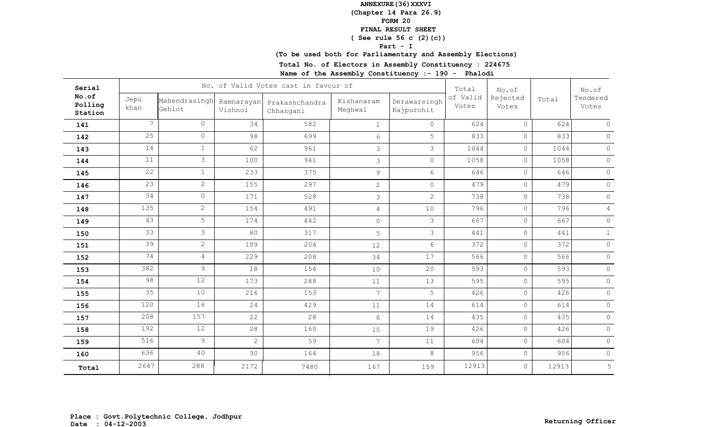## **(Chapter 14 Para 26.9)**

**FORM 20**

#### **FINAL RESULT SHEET**

## **( See rule 56 c (2)(c))**

**Part - I**

## **(To be used both for Parliamentary and Assembly Elections)**

**Total No. of Electors in Assembly Constituency : 224675**

| Serial                      |                 |                         |                       | No. of Valid Votes cast in favour of |                       |                            | Total             | No.of             |       | No.of             |
|-----------------------------|-----------------|-------------------------|-----------------------|--------------------------------------|-----------------------|----------------------------|-------------------|-------------------|-------|-------------------|
| No.of<br>Polling<br>Station | Jepu<br>khan    | Mahendrasingh<br>Gehlot | Ramnarayan<br>Vishnoi | Prakashchandra<br>Chhangani          | Kishanaram<br>Meghwal | Derawarsingh<br>Rajpurohit | of Valid<br>Votes | Rejected<br>Votes | Total | Tendered<br>Votes |
| 141                         | $7\overline{ }$ | $\circ$                 | 34                    | 582                                  | $\mathbf{1}$          | $\overline{0}$             | 624               | $\circ$           | 624   | $\circ$           |
| 142                         | 25              | $\overline{0}$          | 98                    | 699                                  | $6\,$                 | 5                          | 833               | $\circ$           | 833   | $\circ$           |
| 143                         | 14              | $\mathbf{1}$            | 62                    | 961                                  | $\mathfrak{Z}$        | $\mathcal{S}$              | 1044              | $\circ$           | 1044  | $\circ$           |
| 144                         | 11              | $\mathcal{S}$           | 100                   | 941                                  | $\mathcal{S}$         | $\overline{0}$             | 1058              | $\circ$           | 1058  | $\circ$           |
| 145                         | 22              | 1                       | 233                   | 375                                  | $\mathsf 9$           | 6                          | 646               | $\circ$           | 646   | $\circ$           |
| 146                         | 23              | $\overline{2}$          | 155                   | 297                                  | $\mathbf{2}$          | $\circ$                    | 479               | $\circ$           | 479   | $\circ$           |
| 147                         | 34              | $\circ$                 | 171                   | 528                                  | 3                     | $\overline{2}$             | 738               | $\circ$           | 738   | $\circ$           |
| 148                         | 135             | $\overline{2}$          | 154                   | 491                                  | $\sqrt{4}$            | 10                         | 796               | $\circ$           | 796   | $\overline{4}$    |
| 149                         | 43              | 5                       | 174                   | 442                                  | $\mathsf{O}$          | 3                          | 667               | $\circ$           | 667   | $\circ$           |
| 150                         | 33              | 3                       | 80                    | 317                                  | 5                     | 3                          | 441               | $\circ$           | 441   | $\mathbf{1}$      |
| 151                         | 39              | $\overline{2}$          | 109                   | 204                                  | 12                    | 6                          | 372               | $\circ$           | 372   | $\circ$           |
| 152                         | 74              | 4                       | 229                   | 208                                  | 34                    | 17                         | 566               | $\circ$           | 566   | $\circ$           |
| 153                         | 382             | $\mathcal{G}$           | 18                    | 154                                  | 10                    | 20                         | 593               | $\circ$           | 593   | $\circ$           |
| 154                         | 98              | 12                      | 173                   | 288                                  | 11                    | 13                         | 595               | $\circ$           | 595   | $\circ$           |
| 155                         | 35              | 10                      | 216                   | 153                                  | $\overline{7}$        | 5                          | 426               | $\circ$           | 426   | $\circ$           |
| 156                         | 120             | 16                      | 24                    | 429                                  | 11                    | 14                         | 614               | $\circ$           | 614   | $\circ$           |
| 157                         | 208             | 157                     | 22                    | 28                                   | $6\phantom{.}6$       | 14                         | 435               | $\circ$           | 435   | $\circ$           |
| 158                         | 192             | 12                      | 28                    | 160                                  | 15                    | 19                         | 426               | $\circ$           | 426   | $\circledcirc$    |
| 159                         | 516             | $\overline{9}$          | $\overline{2}$        | 59                                   | $\overline{7}$        | 11                         | 604               | $\circ$           | 604   | $\circ$           |
| 160                         | 636             | 40                      | 90                    | 164                                  | 18                    | 8                          | 956               | $\circ$           | 956   | $\circ$           |
| Total                       | 2647            | 288                     | 2172                  | 7480                                 | 167                   | 159                        | 12913             | $\circ$           | 12913 | 5                 |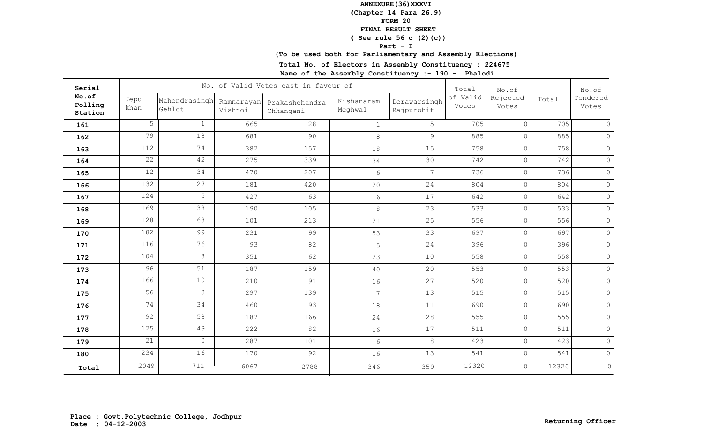## **(Chapter 14 Para 26.9)**

**FORM 20**

#### **FINAL RESULT SHEET**

## **( See rule 56 c (2)(c))**

**Part - I**

# **(To be used both for Parliamentary and Assembly Elections)**

**Total No. of Electors in Assembly Constituency : 224675**

| Serial                      |              |                         |                       | No. of Valid Votes cast in favour of |                       |                            | Total             | No.of             |       | No.of             |
|-----------------------------|--------------|-------------------------|-----------------------|--------------------------------------|-----------------------|----------------------------|-------------------|-------------------|-------|-------------------|
| No.of<br>Polling<br>Station | Jepu<br>khan | Mahendrasingh<br>Gehlot | Ramnarayan<br>Vishnoi | Prakashchandra<br>Chhangani          | Kishanaram<br>Meghwal | Derawarsingh<br>Rajpurohit | of Valid<br>Votes | Rejected<br>Votes | Total | Tendered<br>Votes |
| 161                         | 5            | $\mathbf{1}$            | 665                   | 28                                   | $\mathbf{1}$          | 5                          | 705               | $\circ$           | 705   | $\circ$           |
| 162                         | 79           | 18                      | 681                   | 90                                   | $\,8\,$               | $\overline{9}$             | 885               | $\circ$           | 885   | $\circ$           |
| 163                         | 112          | 74                      | 382                   | 157                                  | 18                    | 15                         | 758               | $\circ$           | 758   | $\circ$           |
| 164                         | 22           | 42                      | 275                   | 339                                  | 34                    | 30                         | 742               | $\circ$           | 742   | $\circ$           |
| 165                         | 12           | 34                      | 470                   | 207                                  | 6                     | $7\overline{ }$            | 736               | $\circ$           | 736   | $\circ$           |
| 166                         | 132          | 27                      | 181                   | 420                                  | 20                    | 24                         | 804               | $\circ$           | 804   | $\circ$           |
| 167                         | 124          | 5                       | 427                   | 63                                   | $6\,$                 | 17                         | 642               | $\circ$           | 642   | $\circ$           |
| 168                         | 169          | 38                      | 190                   | 105                                  | 8                     | 23                         | 533               | $\circ$           | 533   | $\circ$           |
| 169                         | 128          | 68                      | 101                   | 213                                  | 21                    | 25                         | 556               | $\circ$           | 556   | $\circ$           |
| 170                         | 182          | 99                      | 231                   | 99                                   | 53                    | 33                         | 697               | $\circ$           | 697   | $\circ$           |
| 171                         | 116          | 76                      | 93                    | 82                                   | 5                     | 24                         | 396               | $\circ$           | 396   | $\circ$           |
| 172                         | 104          | 8                       | 351                   | 62                                   | 23                    | 10                         | 558               | $\circ$           | 558   | $\circ$           |
| 173                         | 96           | 51                      | 187                   | 159                                  | 40                    | 20                         | 553               | $\circ$           | 553   | $\circ$           |
| 174                         | 166          | 10                      | 210                   | 91                                   | 16                    | 27                         | 520               | $\circ$           | 520   | $\circ$           |
| 175                         | 56           | $\mathcal{S}$           | 297                   | 139                                  | $\overline{7}$        | 13                         | 515               | $\circ$           | 515   | $\circ$           |
| 176                         | 74           | 34                      | 460                   | 93                                   | 18                    | 11                         | 690               | $\circ$           | 690   | $\circ$           |
| 177                         | 92           | 58                      | 187                   | 166                                  | 24                    | 28                         | 555               | $\circ$           | 555   | $\circ$           |
| 178                         | 125          | 49                      | 222                   | 82                                   | 16                    | 17                         | 511               | $\circ$           | 511   | $\circledcirc$    |
| 179                         | 21           | $\overline{O}$          | 287                   | 101                                  | $6\,$                 | 8                          | 423               | $\circ$           | 423   | $\circ$           |
| 180                         | 234          | 16                      | 170                   | 92                                   | 16                    | 13                         | 541               | $\circ$           | 541   | $\circ$           |
| Total                       | 2049         | 711                     | 6067                  | 2788                                 | 346                   | 359                        | 12320             | $\circ$           | 12320 | $\circledcirc$    |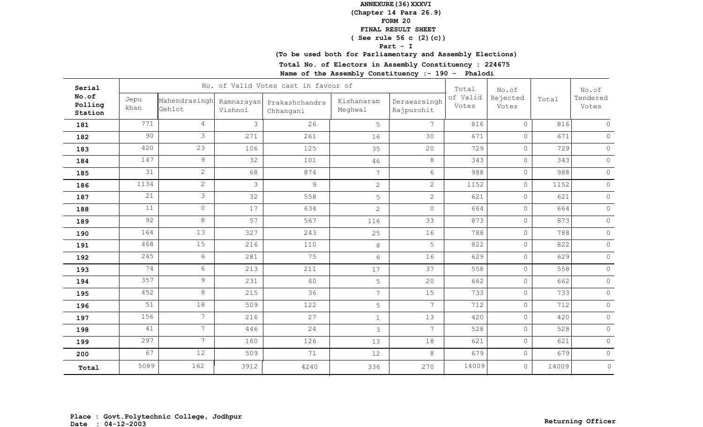## **(Chapter 14 Para 26.9)**

**FORM 20**

#### **FINAL RESULT SHEET**

## **( See rule 56 c (2)(c))**

**Part - I**

## **(To be used both for Parliamentary and Assembly Elections)**

**Total No. of Electors in Assembly Constituency : 224675**

| Serial                      |              |                         |                       | No. of Valid Votes cast in favour of |                       |                            | Total             | No.of             |       | No.of             |
|-----------------------------|--------------|-------------------------|-----------------------|--------------------------------------|-----------------------|----------------------------|-------------------|-------------------|-------|-------------------|
| No.of<br>Polling<br>Station | Jepu<br>khan | Mahendrasingh<br>Gehlot | Ramnarayan<br>Vishnoi | Prakashchandra<br>Chhangani          | Kishanaram<br>Meghwal | Derawarsingh<br>Rajpurohit | of Valid<br>Votes | Rejected<br>Votes | Total | Tendered<br>Votes |
| 181                         | 771          | $\overline{4}$          | $\mathcal{S}$         | 26                                   | 5                     | $7\overline{ }$            | 816               | $\circ$           | 816   | $\circ$           |
| 182                         | 90           | 3                       | 271                   | 261                                  | 16                    | 30                         | 671               | $\circ$           | 671   | $\circ$           |
| 183                         | 420          | 23                      | 106                   | 125                                  | 35                    | 20                         | 729               | $\circ$           | 729   | $\circ$           |
| 184                         | 147          | 9                       | 32                    | 101                                  | 46                    | 8                          | 343               | $\circ$           | 343   | $\circ$           |
| 185                         | 31           | $\overline{2}$          | 68                    | 874                                  | $7\phantom{.0}$       | 6                          | 988               | $\circ$           | 988   | $\circ$           |
| 186                         | 1134         | $\overline{2}$          | 3                     | 9                                    | $\mathbf{2}$          | $\overline{2}$             | 1152              | $\circ$           | 1152  | $\circ$           |
| 187                         | 21           | 3                       | 32                    | 558                                  | 5                     | $\overline{2}$             | 621               | $\circ$           | 621   | $\circ$           |
| 188                         | 11           | $\overline{0}$          | 17                    | 634                                  | $\mathbf{2}$          | $\circ$                    | 664               | $\circ$           | 664   | $\circ$           |
| 189                         | 92           | 8                       | 57                    | 567                                  | 116                   | 33                         | 873               | $\circ$           | 873   | $\circ$           |
| 190                         | 164          | 13                      | 327                   | 243                                  | 25                    | 16                         | 788               | $\circ$           | 788   | $\circ$           |
| 191                         | 468          | 15                      | 216                   | 110                                  | 8                     | 5                          | 822               | $\circ$           | 822   | $\circ$           |
| 192                         | 245          | 6                       | 281                   | 75                                   | 6                     | 16                         | 629               | $\circ$           | 629   | $\circ$           |
| 193                         | 74           | 6                       | 213                   | 211                                  | 17                    | 37                         | 558               | $\circ$           | 558   | $\circ$           |
| 194                         | 357          | 9                       | 231                   | 40                                   | 5                     | 20                         | 662               | $\circ$           | 662   | $\circ$           |
| 195                         | 452          | 8                       | 215                   | 36                                   | $\overline{7}$        | 15                         | 733               | $\circ$           | 733   | $\circ$           |
| 196                         | 51           | 18                      | 509                   | 122                                  | 5                     | $7\overline{ }$            | 712               | $\circ$           | 712   | $\circ$           |
| 197                         | 156          | $\overline{7}$          | 216                   | 27                                   | $\mathbf{1}$          | 13                         | 420               | $\circ$           | 420   | $\circ$           |
| 198                         | 41           | $7\overline{ }$         | 446                   | 24                                   | $\mathfrak{Z}$        | $\overline{7}$             | 528               | $\circ$           | 528   | $\circ$           |
| 199                         | 297          | $7\overline{ }$         | 160                   | 126                                  | 13                    | 18                         | 621               | $\circ$           | 621   | $\circ$           |
| 200                         | 67           | 12                      | 509                   | 71                                   | 12                    | 8                          | 679               | $\circ$           | 679   | $\circ$           |
| Total                       | 5089         | 162                     | 3912                  | 4240                                 | 336                   | 270                        | 14009             | $\circ$           | 14009 | $\circ$           |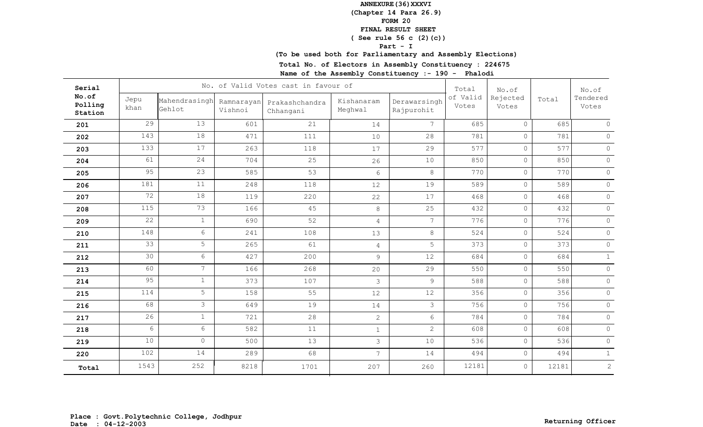## **(Chapter 14 Para 26.9)**

**FORM 20**

#### **FINAL RESULT SHEET**

## **( See rule 56 c (2)(c))**

**Part - I**

# **(To be used both for Parliamentary and Assembly Elections)**

**Total No. of Electors in Assembly Constituency : 224675**

| Serial                      |              |                         |                       | No. of Valid Votes cast in favour of |                       |                            | Total             | No.of             |       | No.of             |
|-----------------------------|--------------|-------------------------|-----------------------|--------------------------------------|-----------------------|----------------------------|-------------------|-------------------|-------|-------------------|
| No.of<br>Polling<br>Station | Jepu<br>khan | Mahendrasingh<br>Gehlot | Ramnarayan<br>Vishnoi | Prakashchandra<br>Chhangani          | Kishanaram<br>Meghwal | Derawarsingh<br>Rajpurohit | of Valid<br>Votes | Rejected<br>Votes | Total | Tendered<br>Votes |
| 201                         | 29           | 13                      | 601                   | 21                                   | 14                    | 7 <sup>1</sup>             | 685               | $\circ$           | 685   | $\circ$           |
| 202                         | 143          | 18                      | 471                   | 111                                  | 10                    | 28                         | 781               | $\circ$           | 781   | $\circ$           |
| 203                         | 133          | 17                      | 263                   | 118                                  | 17                    | 29                         | 577               | $\circ$           | 577   | $\circ$           |
| 204                         | 61           | 24                      | 704                   | 25                                   | 26                    | 10                         | 850               | $\circ$           | 850   | $\circ$           |
| 205                         | 95           | 23                      | 585                   | 53                                   | $6\phantom{.}6$       | 8                          | 770               | $\circ$           | 770   | $\circ$           |
| 206                         | 181          | 11                      | 248                   | 118                                  | 12                    | 19                         | 589               | $\circ$           | 589   | $\circ$           |
| 207                         | 72           | 18                      | 119                   | 220                                  | 22                    | 17                         | 468               | $\circ$           | 468   | $\circ$           |
| 208                         | 115          | 73                      | 166                   | 45                                   | $\,8\,$               | 25                         | 432               | $\circ$           | 432   | $\circ$           |
| 209                         | 22           | $\mathbf{1}$            | 690                   | 52                                   | $\overline{4}$        | $7\overline{ }$            | 776               | $\circ$           | 776   | $\circ$           |
| 210                         | 148          | 6                       | 241                   | 108                                  | 13                    | 8                          | 524               | $\circ$           | 524   | $\circ$           |
| 211                         | 33           | 5                       | 265                   | 61                                   | $\overline{4}$        | 5                          | 373               | $\circ$           | 373   | $\circ$           |
| 212                         | 30           | 6 <sup>1</sup>          | 427                   | 200                                  | 9                     | 12                         | 684               | $\circ$           | 684   | $\mathbf{1}$      |
| 213                         | 60           | $7\overline{ }$         | 166                   | 268                                  | 20                    | 29                         | 550               | $\circ$           | 550   | $\circ$           |
| 214                         | 95           | 1                       | 373                   | 107                                  | 3                     | 9                          | 588               | $\circ$           | 588   | $\circ$           |
| 215                         | 114          | 5                       | 158                   | 55                                   | 12                    | 12                         | 356               | $\circ$           | 356   | $\circ$           |
| 216                         | 68           | 3                       | 649                   | 19                                   | 14                    | 3                          | 756               | $\circ$           | 756   | $\circ$           |
| 217                         | 26           | 1                       | 721                   | 28                                   | $\overline{c}$        | $6\overline{6}$            | 784               | $\circ$           | 784   | $\circledcirc$    |
| 218                         | 6            | 6                       | 582                   | 11                                   | $\mathbf{1}$          | $\overline{2}$             | 608               | $\circ$           | 608   | $\circ$           |
| 219                         | 10           | $\overline{0}$          | 500                   | 13                                   | $\mathfrak{Z}$        | 10                         | 536               | $\circ$           | 536   | $\circ$           |
| 220                         | 102          | 14                      | 289                   | 68                                   | $\overline{7}$        | 14                         | 494               | $\circ$           | 494   | $\mathbf{1}$      |
| Total                       | 1543         | 252                     | 8218                  | 1701                                 | 207                   | 260                        | 12181             | $\circ$           | 12181 | 2                 |